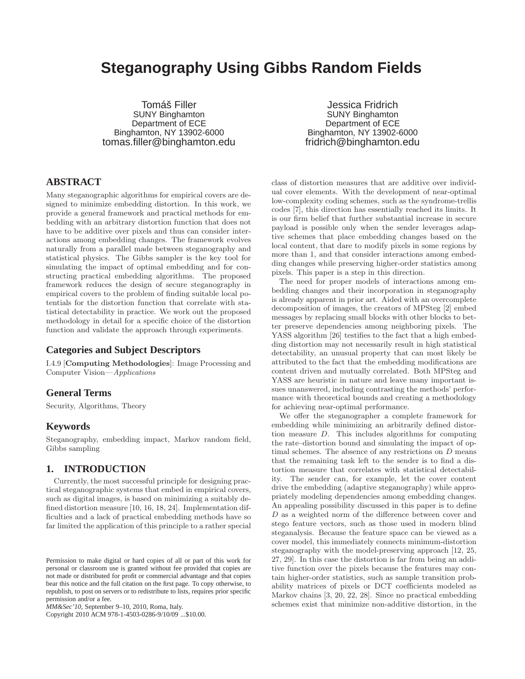# **Steganography Using Gibbs Random Fields**

Tomáš Filler SUNY Binghamton Department of ECE Binghamton, NY 13902-6000 tomas.filler@binghamton.edu

Jessica Fridrich SUNY Binghamton Department of ECE Binghamton, NY 13902-6000 fridrich@binghamton.edu

# **ABSTRACT**

Many steganographic algorithms for empirical covers are designed to minimize embedding distortion. In this work, we provide a general framework and practical methods for embedding with an arbitrary distortion function that does not have to be additive over pixels and thus can consider interactions among embedding changes. The framework evolves naturally from a parallel made between steganography and statistical physics. The Gibbs sampler is the key tool for simulating the impact of optimal embedding and for constructing practical embedding algorithms. The proposed framework reduces the design of secure steganography in empirical covers to the problem of finding suitable local potentials for the distortion function that correlate with statistical detectability in practice. We work out the proposed methodology in detail for a specific choice of the distortion function and validate the approach through experiments.

# **Categories and Subject Descriptors**

I.4.9 [Computing Methodologies]: Image Processing and Computer Vision—*Applications*

# **General Terms**

Security, Algorithms, Theory

#### **Keywords**

Steganography, embedding impact, Markov random field, Gibbs sampling

#### **1. INTRODUCTION**

Currently, the most successful principle for designing practical steganographic systems that embed in empirical covers, such as digital images, is based on minimizing a suitably defined distortion measure [10, 16, 18, 24]. Implementation difficulties and a lack of practical embedding methods have so far limited the application of this principle to a rather special

Copyright 2010 ACM 978-1-4503-0286-9/10/09 ...\$10.00.

class of distortion measures that are additive over individual cover elements. With the development of near-optimal low-complexity coding schemes, such as the syndrome-trellis codes [7], this direction has essentially reached its limits. It is our firm belief that further substantial increase in secure payload is possible only when the sender leverages adaptive schemes that place embedding changes based on the local content, that dare to modify pixels in some regions by more than 1, and that consider interactions among embedding changes while preserving higher-order statistics among pixels. This paper is a step in this direction.

The need for proper models of interactions among embedding changes and their incorporation in steganography is already apparent in prior art. Aided with an overcomplete decomposition of images, the creators of MPSteg [2] embed messages by replacing small blocks with other blocks to better preserve dependencies among neighboring pixels. The YASS algorithm [26] testifies to the fact that a high embedding distortion may not necessarily result in high statistical detectability, an unusual property that can most likely be attributed to the fact that the embedding modifications are content driven and mutually correlated. Both MPSteg and YASS are heuristic in nature and leave many important issues unanswered, including contrasting the methods' performance with theoretical bounds and creating a methodology for achieving near-optimal performance.

We offer the steganographer a complete framework for embedding while minimizing an arbitrarily defined distortion measure D. This includes algorithms for computing the rate–distortion bound and simulating the impact of optimal schemes. The absence of any restrictions on  $D$  means that the remaining task left to the sender is to find a distortion measure that correlates with statistical detectability. The sender can, for example, let the cover content drive the embedding (adaptive steganography) while appropriately modeling dependencies among embedding changes. An appealing possibility discussed in this paper is to define D as a weighted norm of the difference between cover and stego feature vectors, such as those used in modern blind steganalysis. Because the feature space can be viewed as a cover model, this immediately connects minimum-distortion steganography with the model-preserving approach [12, 25, 27, 29]. In this case the distortion is far from being an additive function over the pixels because the features may contain higher-order statistics, such as sample transition probability matrices of pixels or DCT coefficients modeled as Markov chains [3, 20, 22, 28]. Since no practical embedding schemes exist that minimize non-additive distortion, in the

Permission to make digital or hard copies of all or part of this work for personal or classroom use is granted without fee provided that copies are not made or distributed for profit or commercial advantage and that copies bear this notice and the full citation on the first page. To copy otherwise, to republish, to post on servers or to redistribute to lists, requires prior specific permission and/or a fee.

*MM&Sec'10,* September 9–10, 2010, Roma, Italy.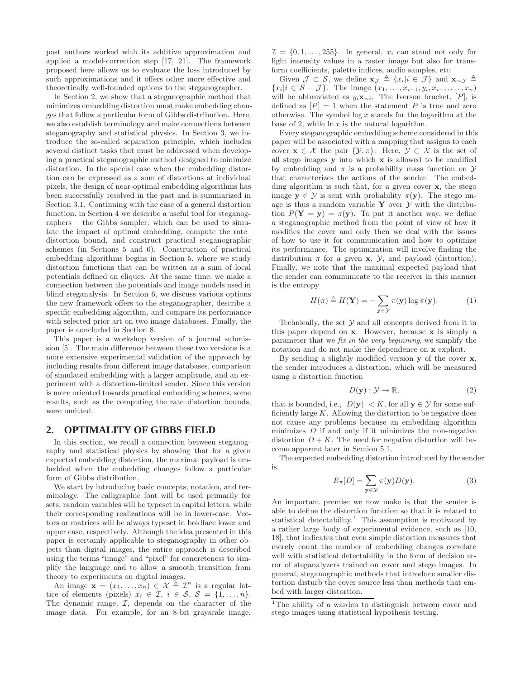past authors worked with its additive approximation and applied a model-correction step [17, 21]. The framework proposed here allows us to evaluate the loss introduced by such approximations and it offers other more effective and theoretically well-founded options to the steganographer.

In Section 2, we show that a steganographic method that minimizes embedding distortion must make embedding changes that follow a particular form of Gibbs distribution. Here, we also establish terminology and make connections between steganography and statistical physics. In Section 3, we introduce the so-called separation principle, which includes several distinct tasks that must be addressed when developing a practical steganographic method designed to minimize distortion. In the special case when the embedding distortion can be expressed as a sum of distortions at individual pixels, the design of near-optimal embedding algorithms has been successfully resolved in the past and is summarized in Section 3.1. Continuing with the case of a general distortion function, in Section 4 we describe a useful tool for steganographers – the Gibbs sampler, which can be used to simulate the impact of optimal embedding, compute the rate– distortion bound, and construct practical steganographic schemes (in Sections 5 and 6). Construction of practical embedding algorithms begins in Section 5, where we study distortion functions that can be written as a sum of local potentials defined on cliques. At the same time, we make a connection between the potentials and image models used in blind steganalysis. In Section 6, we discuss various options the new framework offers to the steganographer, describe a specific embedding algorithm, and compare its performance with selected prior art on two image databases. Finally, the paper is concluded in Section 8.

This paper is a workshop version of a journal submission [5]. The main difference between these two versions is a more extensive experimental validation of the approach by including results from different image databases, comparison of simulated embedding with a larger amplitude, and an experiment with a distortion-limited sender. Since this version is more oriented towards practical embedding schemes, some results, such as the computing the rate–distortion bounds, were omitted.

#### **2. OPTIMALITY OF GIBBS FIELD**

In this section, we recall a connection between steganography and statistical physics by showing that for a given expected embedding distortion, the maximal payload is embedded when the embedding changes follow a particular form of Gibbs distribution.

We start by introducing basic concepts, notation, and terminology. The calligraphic font will be used primarily for sets, random variables will be typeset in capital letters, while their corresponding realizations will be in lower-case. Vectors or matrices will be always typeset in boldface lower and upper case, respectively. Although the idea presented in this paper is certainly applicable to steganography in other objects than digital images, the entire approach is described using the terms "image" and "pixel" for concreteness to simplify the language and to allow a smooth transition from theory to experiments on digital images.

An image  $\mathbf{x} = (x_1, \dots, x_n) \in \mathcal{X} \triangleq \mathcal{I}^n$  is a regular lattice of elements (pixels)  $x_i \in \mathcal{I}, i \in \mathcal{S}, \mathcal{S} = \{1, \ldots, n\}.$ The dynamic range,  $I$ , depends on the character of the image data. For example, for an 8-bit grayscale image,  $\mathcal{I} = \{0, 1, \ldots, 255\}$ . In general,  $x_i$  can stand not only for light intensity values in a raster image but also for transform coefficients, palette indices, audio samples, etc.

Given  $\mathcal{J} \subset \mathcal{S}$ , we define  $\mathbf{x}_{\mathcal{J}} \triangleq \{x_i | i \in \mathcal{J}\}\$ and  $\mathbf{x}_{\sim \mathcal{J}} \triangleq$  ${x_i | i \in S - J}.$  The image  $(x_1, \ldots, x_{i-1}, y_i, x_{i+1}, \ldots, x_n)$ will be abbreviated as  $y_i \mathbf{x}_{\sim i}$ . The Iverson bracket, [P], is defined as  $[P] = 1$  when the statement P is true and zero otherwise. The symbol  $\log x$  stands for the logarithm at the base of 2, while  $\ln x$  is the natural logarithm.

Every steganographic embedding scheme considered in this paper will be associated with a mapping that assigns to each cover  $\mathbf{x} \in \mathcal{X}$  the pair  $\{\mathcal{Y}, \pi\}$ . Here,  $\mathcal{Y} \subset \mathcal{X}$  is the set of all stego images y into which x is allowed to be modified by embedding and  $\pi$  is a probability mass function on  $\mathcal Y$ that characterizes the actions of the sender. The embedding algorithm is such that, for a given cover  $x$ , the stego image  $y \in \mathcal{Y}$  is sent with probability  $\pi(y)$ . The stego image is thus a random variable  $Y$  over  $Y$  with the distribution  $P(Y = y) = \pi(y)$ . To put it another way, we define a steganographic method from the point of view of how it modifies the cover and only then we deal with the issues of how to use it for communication and how to optimize its performance. The optimization will involve finding the distribution  $\pi$  for a given **x**,  $\mathcal{Y}$ , and payload (distortion). Finally, we note that the maximal expected payload that the sender can communicate to the receiver in this manner is the entropy

$$
H(\pi) \triangleq H(\mathbf{Y}) = -\sum_{\mathbf{y} \in \mathcal{Y}} \pi(\mathbf{y}) \log \pi(\mathbf{y}). \tag{1}
$$

Technically, the set  $\mathcal Y$  and all concepts derived from it in this paper depend on x. However, because x is simply a parameter that we *fix in the very beginning*, we simplify the notation and do not make the dependence on x explicit.

By sending a slightly modified version y of the cover x, the sender introduces a distortion, which will be measured using a distortion function

$$
D(\mathbf{y}): \mathcal{Y} \to \mathbb{R},\tag{2}
$$

that is bounded, i.e.,  $|D(\mathbf{y})| < K$ , for all  $\mathbf{y} \in \mathcal{Y}$  for some sufficiently large  $K$ . Allowing the distortion to be negative does not cause any problems because an embedding algorithm minimizes  $D$  if and only if it minimizes the non-negative distortion  $D + K$ . The need for negative distortion will become apparent later in Section 5.1.

The expected embedding distortion introduced by the sender is

$$
E_{\pi}[D] = \sum_{\mathbf{y} \in \mathcal{Y}} \pi(\mathbf{y}) D(\mathbf{y}). \tag{3}
$$

An important premise we now make is that the sender is able to define the distortion function so that it is related to statistical detectability.<sup>1</sup> This assumption is motivated by a rather large body of experimental evidence, such as [10, 18], that indicates that even simple distortion measures that merely count the number of embedding changes correlate well with statistical detectability in the form of decision error of steganalyzers trained on cover and stego images. In general, steganographic methods that introduce smaller distortion disturb the cover source less than methods that embed with larger distortion.

<sup>&</sup>lt;sup>1</sup>The ability of a warden to distinguish between cover and stego images using statistical hypothesis testing.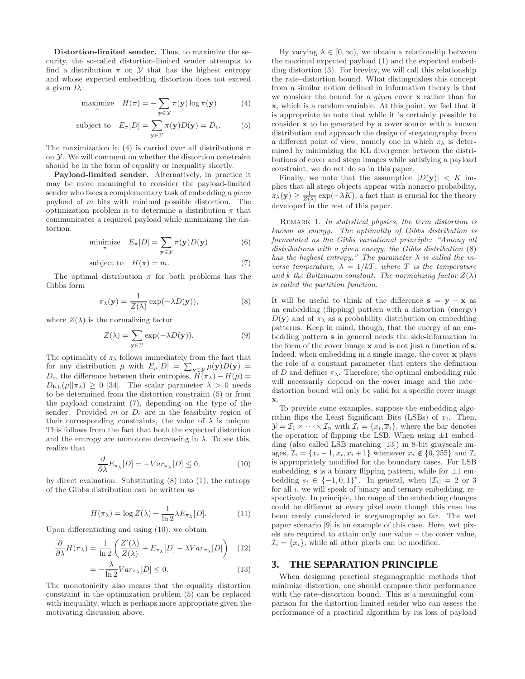Distortion-limited sender. Thus, to maximize the security, the so-called distortion-limited sender attempts to find a distribution  $\pi$  on  $\mathcal Y$  that has the highest entropy and whose expected embedding distortion does not exceed a given  $D_{\epsilon}$ :

$$
\underset{\pi}{\text{maximize}} \quad H(\pi) = -\sum_{\mathbf{y} \in \mathcal{Y}} \pi(\mathbf{y}) \log \pi(\mathbf{y}) \tag{4}
$$

subject to 
$$
E_{\pi}[D] = \sum_{\mathbf{y} \in \mathcal{Y}} \pi(\mathbf{y}) D(\mathbf{y}) = D_{\epsilon}.
$$
 (5)

The maximization in (4) is carried over all distributions  $\pi$ on Y. We will comment on whether the distortion constraint should be in the form of equality or inequality shortly.

Payload-limited sender. Alternatively, in practice it may be more meaningful to consider the payload-limited sender who faces a complementary task of embedding a *given* payload of m bits with minimal possible distortion. The optimization problem is to determine a distribution  $\pi$  that communicates a required payload while minimizing the distortion:

$$
\text{minimize}_{\pi} \quad E_{\pi}[D] = \sum_{\mathbf{y} \in \mathcal{Y}} \pi(\mathbf{y}) D(\mathbf{y}) \tag{6}
$$

subject to 
$$
H(\pi) = m
$$
. (7)

The optimal distribution  $\pi$  for both problems has the Gibbs form

$$
\pi_{\lambda}(\mathbf{y}) = \frac{1}{Z(\lambda)} \exp(-\lambda D(\mathbf{y})),
$$
\n(8)

where  $Z(\lambda)$  is the normalizing factor

$$
Z(\lambda) = \sum_{\mathbf{y} \in \mathcal{Y}} \exp(-\lambda D(\mathbf{y})).
$$
 (9)

The optimality of  $\pi_{\lambda}$  follows immediately from the fact that for any distribution  $\mu$  with  $E_{\mu}[D] = \sum_{\mathbf{y} \in \mathcal{Y}} \mu(\mathbf{y})D(\mathbf{y}) =$  $D_{\epsilon}$ , the difference between their entropies,  $H(\pi_{\lambda}) - H(\mu) =$  $D_{\text{KL}}(\mu||\pi_{\lambda}) \geq 0$  [34]. The scalar parameter  $\lambda > 0$  needs to be determined from the distortion constraint (5) or from the payload constraint (7), depending on the type of the sender. Provided m or  $D_{\epsilon}$  are in the feasibility region of their corresponding constraints, the value of  $\lambda$  is unique. This follows from the fact that both the expected distortion and the entropy are monotone decreasing in  $\lambda$ . To see this, realize that

$$
\frac{\partial}{\partial \lambda} E_{\pi_{\lambda}}[D] = -Var_{\pi_{\lambda}}[D] \le 0, \tag{10}
$$

by direct evaluation. Substituting (8) into (1), the entropy of the Gibbs distribution can be written as

$$
H(\pi_{\lambda}) = \log Z(\lambda) + \frac{1}{\ln 2} \lambda E_{\pi_{\lambda}}[D]. \tag{11}
$$

Upon differentiating and using (10), we obtain

$$
\frac{\partial}{\partial \lambda} H(\pi_{\lambda}) = \frac{1}{\ln 2} \left( \frac{Z'(\lambda)}{Z(\lambda)} + E_{\pi_{\lambda}}[D] - \lambda Var_{\pi_{\lambda}}[D] \right) \tag{12}
$$

$$
=-\frac{\lambda}{\ln 2}Var_{\pi_{\lambda}}[D] \le 0.
$$
\n(13)

The monotonicity also means that the equality distortion constraint in the optimization problem (5) can be replaced with inequality, which is perhaps more appropriate given the motivating discussion above.

By varying  $\lambda \in [0, \infty)$ , we obtain a relationship between the maximal expected payload (1) and the expected embedding distortion (3). For brevity, we will call this relationship the rate–distortion bound. What distinguishes this concept from a similar notion defined in information theory is that we consider the bound for a *given* cover x rather than for x, which is a random variable. At this point, we feel that it is appropriate to note that while it is certainly possible to consider x to be generated by a cover source with a known distribution and approach the design of steganography from a different point of view, namely one in which  $\pi_{\lambda}$  is determined by minimizing the KL divergence between the distributions of cover and stego images while satisfying a payload constraint, we do not do so in this paper.

Finally, we note that the assumption  $|D(\mathbf{y})| < K$  implies that all stego objects appear with nonzero probability,  $\pi_{\lambda}(\mathbf{y}) \ge \frac{1}{Z(\lambda)} \exp(-\lambda K)$ , a fact that is crucial for the theory developed in the rest of this paper.

Remark 1. *In statistical physics, the term distortion is known as energy. The optimality of Gibbs distribution is formulated as the Gibbs variational principle: "Among all distributions with a given energy, the Gibbs distribution* (8) *has the highest entropy." The parameter* λ *is called the inverse temperature,*  $\lambda = 1/kT$ *, where* T *is the temperature* and k the Boltzmann constant. The normalizing factor  $Z(\lambda)$ *is called the partition function.*

It will be useful to think of the difference  $s = y - x$  as an embedding (flipping) pattern with a distortion (energy)  $D(\mathbf{y})$  and of  $\pi_{\lambda}$  as a probability distribution on embedding patterns. Keep in mind, though, that the energy of an embedding pattern s in general needs the side-information in the form of the cover image x and is not just a function of s. Indeed, when embedding in a single image, the cover x plays the role of a constant parameter that enters the definition of D and defines  $\pi_{\lambda}$ . Therefore, the optimal embedding rule will necessarily depend on the cover image and the rate– distortion bound will only be valid for a specific cover image x.

To provide some examples, suppose the embedding algorithm flips the Least Significant Bits (LSBs) of  $x_i$ . Then,  $\mathcal{Y} = \mathcal{I}_1 \times \cdots \times \mathcal{I}_n$  with  $\mathcal{I}_i = \{x_i, \overline{x}_i\}$ , where the bar denotes the operation of flipping the LSB. When using  $\pm 1$  embedding (also called LSB matching [13]) in 8-bit grayscale images,  $\mathcal{I}_i = \{x_i - 1, x_i, x_i + 1\}$  whenever  $x_i \notin \{0, 255\}$  and  $\mathcal{I}_i$ is appropriately modified for the boundary cases. For LSB embedding,  $s$  is a binary flipping pattern, while for  $\pm 1$  embedding  $s_i \in \{-1, 0, 1\}^n$ . In general, when  $|\mathcal{I}_i| = 2$  or 3 for all  $i$ , we will speak of binary and ternary embedding, respectively. In principle, the range of the embedding changes could be different at every pixel even though this case has been rarely considered in steganography so far. The wet paper scenario [9] is an example of this case. Here, wet pixels are required to attain only one value – the cover value,  $\mathcal{I}_i = \{x_i\}$ , while all other pixels can be modified.

#### **3. THE SEPARATION PRINCIPLE**

When designing practical steganographic methods that minimize distortion, one should compare their performance with the rate–distortion bound. This is a meaningful comparison for the distortion-limited sender who can assess the performance of a practical algorithm by its loss of payload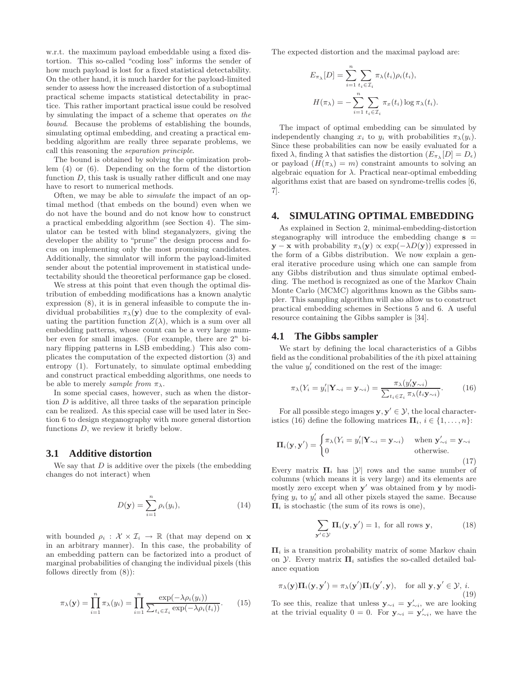w.r.t. the maximum payload embeddable using a fixed distortion. This so-called "coding loss" informs the sender of how much payload is lost for a fixed statistical detectability. On the other hand, it is much harder for the payload-limited sender to assess how the increased distortion of a suboptimal practical scheme impacts statistical detectability in practice. This rather important practical issue could be resolved by simulating the impact of a scheme that operates *on the bound*. Because the problems of establishing the bounds, simulating optimal embedding, and creating a practical embedding algorithm are really three separate problems, we call this reasoning the *separation principle*.

The bound is obtained by solving the optimization problem (4) or (6). Depending on the form of the distortion function  $D$ , this task is usually rather difficult and one may have to resort to numerical methods.

Often, we may be able to *simulate* the impact of an optimal method (that embeds on the bound) even when we do not have the bound and do not know how to construct a practical embedding algorithm (see Section 4). The simulator can be tested with blind steganalyzers, giving the developer the ability to "prune" the design process and focus on implementing only the most promising candidates. Additionally, the simulator will inform the payload-limited sender about the potential improvement in statistical undetectability should the theoretical performance gap be closed.

We stress at this point that even though the optimal distribution of embedding modifications has a known analytic expression (8), it is in general infeasible to compute the individual probabilities  $\pi_{\lambda}(\mathbf{y})$  due to the complexity of evaluating the partition function  $Z(\lambda)$ , which is a sum over all embedding patterns, whose count can be a very large number even for small images. (For example, there are  $2^n$  binary flipping patterns in LSB embedding.) This also complicates the computation of the expected distortion (3) and entropy (1). Fortunately, to simulate optimal embedding and construct practical embedding algorithms, one needs to be able to merely *sample from*  $\pi_{\lambda}$ .

In some special cases, however, such as when the distortion  $D$  is additive, all three tasks of the separation principle can be realized. As this special case will be used later in Section 6 to design steganography with more general distortion functions D, we review it briefly below.

#### **3.1 Additive distortion**

We say that  $D$  is additive over the pixels (the embedding changes do not interact) when

$$
D(\mathbf{y}) = \sum_{i=1}^{n} \rho_i(y_i), \qquad (14)
$$

with bounded  $\rho_i : \mathcal{X} \times \mathcal{I}_i \to \mathbb{R}$  (that may depend on **x** in an arbitrary manner). In this case, the probability of an embedding pattern can be factorized into a product of marginal probabilities of changing the individual pixels (this follows directly from (8)):

$$
\pi_{\lambda}(\mathbf{y}) = \prod_{i=1}^{n} \pi_{\lambda}(y_i) = \prod_{i=1}^{n} \frac{\exp(-\lambda \rho_i(y_i))}{\sum_{t_i \in \mathcal{I}_i} \exp(-\lambda \rho_i(t_i))}.
$$
 (15)

The expected distortion and the maximal payload are:

$$
E_{\pi_{\lambda}}[D] = \sum_{i=1}^{n} \sum_{t_i \in \mathcal{I}_i} \pi_{\lambda}(t_i) \rho_i(t_i),
$$

$$
H(\pi_{\lambda}) = -\sum_{i=1}^{n} \sum_{t_i \in \mathcal{I}_i} \pi_{x}(t_i) \log \pi_{\lambda}(t_i).
$$

The impact of optimal embedding can be simulated by independently changing  $x_i$  to  $y_i$  with probabilities  $\pi_\lambda(y_i)$ . Since these probabilities can now be easily evaluated for a fixed  $\lambda$ , finding  $\lambda$  that satisfies the distortion  $(E_{\pi_{\lambda}}[D] = D_{\epsilon})$ or payload  $(H(\pi_{\lambda}) = m)$  constraint amounts to solving an algebraic equation for  $\lambda$ . Practical near-optimal embedding algorithms exist that are based on syndrome-trellis codes [6, 7].

#### **4. SIMULATING OPTIMAL EMBEDDING**

As explained in Section 2, minimal-embedding-distortion steganography will introduce the embedding change  $s =$  $y - x$  with probability  $\pi_{\lambda}(y) \propto \exp(-\lambda D(y))$  expressed in the form of a Gibbs distribution. We now explain a general iterative procedure using which one can sample from any Gibbs distribution and thus simulate optimal embedding. The method is recognized as one of the Markov Chain Monte Carlo (MCMC) algorithms known as the Gibbs sampler. This sampling algorithm will also allow us to construct practical embedding schemes in Sections 5 and 6. A useful resource containing the Gibbs sampler is [34].

#### **4.1 The Gibbs sampler**

We start by defining the local characteristics of a Gibbs field as the conditional probabilities of the ith pixel attaining the value  $y_i'$  conditioned on the rest of the image:

$$
\pi_{\lambda}(Y_i = y_i' | \mathbf{Y}_{\sim i} = \mathbf{y}_{\sim i}) = \frac{\pi_{\lambda}(y_i' \mathbf{y}_{\sim i})}{\sum_{t_i \in \mathcal{I}_i} \pi_{\lambda}(t_i \mathbf{y}_{\sim i})}.
$$
(16)

For all possible stego images  $y, y' \in \mathcal{Y}$ , the local characteristics (16) define the following matrices  $\mathbf{\Pi}_i, i \in \{1, \ldots, n\}$ :

$$
\Pi_i(\mathbf{y}, \mathbf{y}') = \begin{cases} \pi_{\lambda}(Y_i = y'_i | \mathbf{Y}_{\sim i} = \mathbf{y}_{\sim i}) & \text{when } \mathbf{y}'_{\sim i} = \mathbf{y}_{\sim i} \\ 0 & \text{otherwise.} \end{cases}
$$
(17)

Every matrix  $\Pi_i$  has  $|\mathcal{Y}|$  rows and the same number of columns (which means it is very large) and its elements are mostly zero except when  $y'$  was obtained from y by modifying  $y_i$  to  $y'_i$  and all other pixels stayed the same. Because  $\Pi_i$  is stochastic (the sum of its rows is one),

$$
\sum_{\mathbf{y}' \in \mathcal{Y}} \mathbf{\Pi}_i(\mathbf{y}, \mathbf{y}') = 1, \text{ for all rows } \mathbf{y}, \tag{18}
$$

 $\Pi_i$  is a transition probability matrix of some Markov chain on *Y*. Every matrix  $\Pi_i$  satisfies the so-called detailed balance equation

$$
\pi_{\lambda}(\mathbf{y})\Pi_{i}(\mathbf{y},\mathbf{y}') = \pi_{\lambda}(\mathbf{y}')\Pi_{i}(\mathbf{y}',\mathbf{y}), \text{ for all } \mathbf{y},\mathbf{y}' \in \mathcal{Y}, i.
$$
\n(19)

To see this, realize that unless  $y_{\sim i} = y'_{\sim i}$ , we are looking at the trivial equality  $0 = 0$ . For  $y_{\sim i} = y'_{\sim i}$ , we have the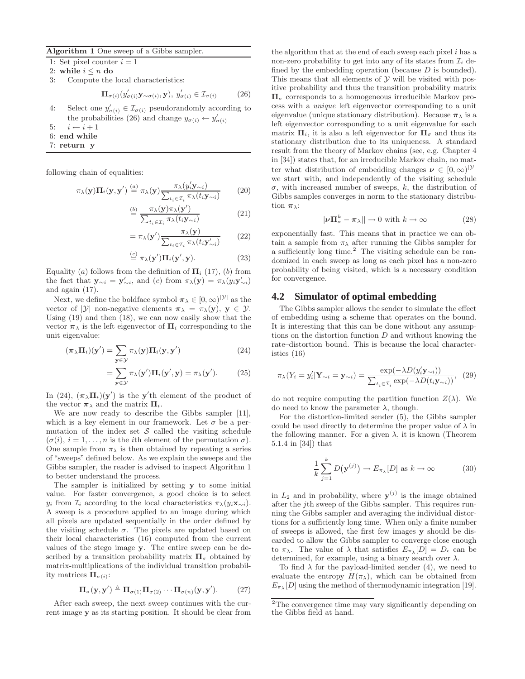Algorithm 1 One sweep of a Gibbs sampler.

1: Set pixel counter  $i = 1$ 

2: while  $i \leq n$  do 3: Compute the

Compute the local characteristics:

$$
\Pi_{\sigma(i)}(y'_{\sigma(i)}\mathbf{y}_{\sim\sigma(i)}, \mathbf{y}), y'_{\sigma(i)} \in \mathcal{I}_{\sigma(i)} \tag{26}
$$

- 4: Select one  $y'_{\sigma(i)} \in \mathcal{I}_{\sigma(i)}$  pseudorandomly according to the probabilities (26) and change  $y_{\sigma(i)} \leftarrow y'_{\sigma(i)}$
- 5:  $i \leftarrow i + 1$
- 6: end while
- 7: return y

following chain of equalities:

$$
\pi_{\lambda}(\mathbf{y})\Pi_{i}(\mathbf{y}, \mathbf{y}') \stackrel{(a)}{=} \pi_{\lambda}(\mathbf{y}) \frac{\pi_{\lambda}(y'_{i}\mathbf{y}_{\sim i})}{\sum_{t_{i} \in \mathcal{I}_{i}} \pi_{\lambda}(t_{i}\mathbf{y}_{\sim i})}
$$
(20)

$$
\stackrel{(b)}{=} \frac{\pi_{\lambda}(\mathbf{y})\pi_{\lambda}(\mathbf{y}')}{\sum_{t_i \in \mathcal{I}_i} \pi_{\lambda}(t_i \mathbf{y}_{\sim i})}
$$
(21)

$$
= \pi_{\lambda}(\mathbf{y}') \frac{\pi_{\lambda}(\mathbf{y})}{\sum_{t_i \in \mathcal{I}_i} \pi_{\lambda}(t_i \mathbf{y}'_{\sim i})}
$$
(22)

$$
\stackrel{(c)}{=} \pi_{\lambda}(\mathbf{y}')\Pi_i(\mathbf{y}', \mathbf{y}).\tag{23}
$$

Equality (a) follows from the definition of  $\Pi_i$  (17), (b) from the fact that  $\mathbf{y}_{\sim i} = \mathbf{y}'_{\sim i}$ , and (c) from  $\pi_{\lambda}(\mathbf{y}) = \pi_{\lambda}(y_i \mathbf{y}'_{\sim i})$ and again (17).

Next, we define the boldface symbol  $\pi_{\lambda} \in [0, \infty)^{|\mathcal{Y}|}$  as the vector of  $|\mathcal{Y}|$  non-negative elements  $\pi_{\lambda} = \pi_{\lambda}(\mathbf{y}), \mathbf{y} \in \mathcal{Y}$ . Using (19) and then (18), we can now easily show that the vector  $\pi_{\lambda}$  is the left eigenvector of  $\Pi_i$  corresponding to the unit eigenvalue:

$$
(\pi_{\lambda}\Pi_{i})(\mathbf{y}') = \sum_{\mathbf{y}\in\mathcal{Y}} \pi_{\lambda}(\mathbf{y})\Pi_{i}(\mathbf{y}, \mathbf{y}') \tag{24}
$$

$$
= \sum_{\mathbf{y} \in \mathcal{Y}} \pi_{\lambda}(\mathbf{y}') \mathbf{\Pi}_{i}(\mathbf{y}', \mathbf{y}) = \pi_{\lambda}(\mathbf{y}'). \tag{25}
$$

In (24),  $(\pi_{\lambda} \Pi_i)(y')$  is the y'th element of the product of the vector  $\pi_{\lambda}$  and the matrix  $\Pi_i$ .

We are now ready to describe the Gibbs sampler [11], which is a key element in our framework. Let  $\sigma$  be a permutation of the index set  $\mathcal S$  called the visiting schedule  $(\sigma(i), i = 1, \ldots, n$  is the *i*th element of the permutation  $\sigma$ ). One sample from  $\pi_{\lambda}$  is then obtained by repeating a series of "sweeps" defined below. As we explain the sweeps and the Gibbs sampler, the reader is advised to inspect Algorithm 1 to better understand the process.

The sampler is initialized by setting y to some initial value. For faster convergence, a good choice is to select  $y_i$  from  $\mathcal{I}_i$  according to the local characteristics  $\pi_\lambda(y_i \mathbf{x}_{\sim i})$ . A sweep is a procedure applied to an image during which all pixels are updated sequentially in the order defined by the visiting schedule  $\sigma$ . The pixels are updated based on their local characteristics (16) computed from the current values of the stego image y. The entire sweep can be described by a transition probability matrix  $\Pi_{\sigma}$  obtained by matrix-multiplications of the individual transition probability matrices  $\Pi_{\sigma(i)}$ :

$$
\Pi_{\sigma}(\mathbf{y}, \mathbf{y}') \triangleq \Pi_{\sigma(1)} \Pi_{\sigma(2)} \cdots \Pi_{\sigma(n)}(\mathbf{y}, \mathbf{y}'). \tag{27}
$$

After each sweep, the next sweep continues with the current image y as its starting position. It should be clear from the algorithm that at the end of each sweep each pixel  $i$  has a non-zero probability to get into any of its states from  $\mathcal{I}_i$  defined by the embedding operation (because  $D$  is bounded). This means that all elements of  $\mathcal Y$  will be visited with positive probability and thus the transition probability matrix  $\Pi_{\sigma}$  corresponds to a homogeneous irreducible Markov process with a *unique* left eigenvector corresponding to a unit eigenvalue (unique stationary distribution). Because  $\pi_{\lambda}$  is a left eigenvector corresponding to a unit eigenvalue for each matrix  $\Pi_i$ , it is also a left eigenvector for  $\Pi_{\sigma}$  and thus its stationary distribution due to its uniqueness. A standard result from the theory of Markov chains (see, e.g. Chapter 4 in [34]) states that, for an irreducible Markov chain, no matter what distribution of embedding changes  $\nu \in [0, \infty)^{|\mathcal{Y}|}$ we start with, and independently of the visiting schedule  $\sigma$ , with increased number of sweeps, k, the distribution of Gibbs samples converges in norm to the stationary distribution  $\pi_{\lambda}$ :

$$
||\nu \Pi_{\sigma}^{k} - \pi_{\lambda}|| \to 0 \text{ with } k \to \infty \tag{28}
$$

exponentially fast. This means that in practice we can obtain a sample from  $\pi_{\lambda}$  after running the Gibbs sampler for a sufficiently long time.<sup>2</sup> The visiting schedule can be randomized in each sweep as long as each pixel has a non-zero probability of being visited, which is a necessary condition for convergence.

# **4.2 Simulator of optimal embedding**

The Gibbs sampler allows the sender to simulate the effect of embedding using a scheme that operates on the bound. It is interesting that this can be done without any assumptions on the distortion function  $D$  and without knowing the rate–distortion bound. This is because the local characteristics (16)

$$
\pi_{\lambda}(Y_i = y_i' | \mathbf{Y}_{\sim i} = \mathbf{y}_{\sim i}) = \frac{\exp(-\lambda D(y_i' \mathbf{y}_{\sim i}))}{\sum_{t_i \in \mathcal{I}_i} \exp(-\lambda D(t_i \mathbf{y}_{\sim i}))}, \tag{29}
$$

do not require computing the partition function  $Z(\lambda)$ . We do need to know the parameter  $\lambda$ , though.

For the distortion-limited sender (5), the Gibbs sampler could be used directly to determine the proper value of  $\lambda$  in the following manner. For a given  $\lambda$ , it is known (Theorem 5.1.4 in [34]) that

$$
\frac{1}{k}\sum_{j=1}^{k} D(\mathbf{y}^{(j)}) \to E_{\pi_{\lambda}}[D] \text{ as } k \to \infty \tag{30}
$$

in  $L_2$  and in probability, where  $y^{(j)}$  is the image obtained after the jth sweep of the Gibbs sampler. This requires running the Gibbs sampler and averaging the individual distortions for a sufficiently long time. When only a finite number of sweeps is allowed, the first few images y should be discarded to allow the Gibbs sampler to converge close enough to  $\pi_{\lambda}$ . The value of  $\lambda$  that satisfies  $E_{\pi_{\lambda}}[D] = D_{\epsilon}$  can be determined, for example, using a binary search over  $\lambda$ .

To find  $\lambda$  for the payload-limited sender (4), we need to evaluate the entropy  $H(\pi_{\lambda})$ , which can be obtained from  $E_{\pi_{\lambda}}[D]$  using the method of thermodynamic integration [19].

<sup>&</sup>lt;sup>2</sup>The convergence time may vary significantly depending on the Gibbs field at hand.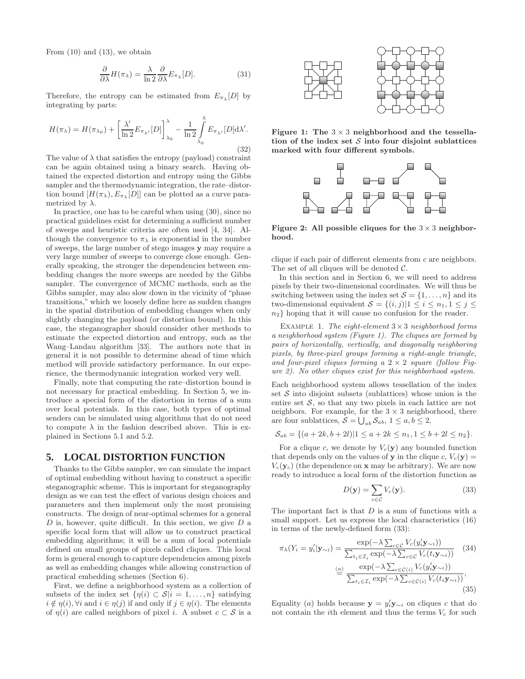From  $(10)$  and  $(13)$ , we obtain

$$
\frac{\partial}{\partial \lambda} H(\pi_{\lambda}) = \frac{\lambda}{\ln 2} \frac{\partial}{\partial \lambda} E_{\pi_{\lambda}}[D]. \tag{31}
$$

Therefore, the entropy can be estimated from  $E_{\pi_{\lambda}}[D]$  by integrating by parts:

$$
H(\pi_{\lambda}) = H(\pi_{\lambda_0}) + \left[\frac{\lambda'}{\ln 2} E_{\pi_{\lambda'}}[D]\right]_{\lambda_0}^{\lambda} - \frac{1}{\ln 2} \int_{\lambda_0}^{\lambda} E_{\pi_{\lambda'}}[D] d\lambda'.
$$
\n(32)

The value of  $\lambda$  that satisfies the entropy (payload) constraint can be again obtained using a binary search. Having obtained the expected distortion and entropy using the Gibbs sampler and the thermodynamic integration, the rate–distortion bound  $[H(\pi_{\lambda}), E_{\pi_{\lambda}}[D]]$  can be plotted as a curve parametrized by  $\lambda$ .

In practice, one has to be careful when using (30), since no practical guidelines exist for determining a sufficient number of sweeps and heuristic criteria are often used [4, 34]. Although the convergence to  $\pi_{\lambda}$  is exponential in the number of sweeps, the large number of stego images y may require a very large number of sweeps to converge close enough. Generally speaking, the stronger the dependencies between embedding changes the more sweeps are needed by the Gibbs sampler. The convergence of MCMC methods, such as the Gibbs sampler, may also slow down in the vicinity of "phase transitions," which we loosely define here as sudden changes in the spatial distribution of embedding changes when only slightly changing the payload (or distortion bound). In this case, the steganographer should consider other methods to estimate the expected distortion and entropy, such as the Wang–Landau algorithm [33]. The authors note that in general it is not possible to determine ahead of time which method will provide satisfactory performance. In our experience, the thermodynamic integration worked very well.

Finally, note that computing the rate–distortion bound is not necessary for practical embedding. In Section 5, we introduce a special form of the distortion in terms of a sum over local potentials. In this case, both types of optimal senders can be simulated using algorithms that do not need to compute  $\lambda$  in the fashion described above. This is explained in Sections 5.1 and 5.2.

#### **5. LOCAL DISTORTION FUNCTION**

Thanks to the Gibbs sampler, we can simulate the impact of optimal embedding without having to construct a specific steganographic scheme. This is important for steganography design as we can test the effect of various design choices and parameters and then implement only the most promising constructs. The design of near-optimal schemes for a general  $D$  is, however, quite difficult. In this section, we give  $D$  a specific local form that will allow us to construct practical embedding algorithms; it will be a sum of local potentials defined on small groups of pixels called cliques. This local form is general enough to capture dependencies among pixels as well as embedding changes while allowing construction of practical embedding schemes (Section 6).

First, we define a neighborhood system as a collection of subsets of the index set  $\{\eta(i) \subset \mathcal{S} | i = 1, \ldots, n\}$  satisfying  $i \notin \eta(i)$ ,  $\forall i$  and  $i \in \eta(j)$  if and only if  $j \in \eta(i)$ . The elements of  $\eta(i)$  are called neighbors of pixel i. A subset  $c \subset S$  is a



Figure 1: The  $3 \times 3$  neighborhood and the tessellation of the index set  $S$  into four disjoint sublattices marked with four different symbols.



Figure 2: All possible cliques for the  $3 \times 3$  neighborhood.

clique if each pair of different elements from c are neighbors. The set of all cliques will be denoted  $C$ .

In this section and in Section 6, we will need to address pixels by their two-dimensional coordinates. We will thus be switching between using the index set  $\mathcal{S} = \{1, \ldots, n\}$  and its two-dimensional equivalent  $S = \{(i, j)|1 \le i \le n_1, 1 \le j \le n_2\}$  $n_2$ } hoping that it will cause no confusion for the reader.

Example 1. *The eight-element* <sup>3</sup>×<sup>3</sup> *neighborhood forms a neighborhood system (Figure 1). The cliques are formed by pairs of horizontally, vertically, and diagonally neighboring pixels, by three-pixel groups forming a right-angle triangle, and four-pixel cliques forming a* 2 × 2 *square (follow Figure 2). No other cliques exist for this neighborhood system.*

Each neighborhood system allows tessellation of the index set  $S$  into disjoint subsets (sublattices) whose union is the entire set  $S$ , so that any two pixels in each lattice are not neighbors. For example, for the  $3 \times 3$  neighborhood, there are four sublattices,  $S = \bigcup_{ab} S_{ab}$ ,  $1 \le a, b \le 2$ ,

$$
\mathcal{S}_{ab} = \{(a+2k, b+2l)|1 \le a+2k \le n_1, 1 \le b+2l \le n_2\}.
$$

For a clique c, we denote by  $V_c(\mathbf{y})$  any bounded function that depends only on the values of y in the clique  $c, V_c(y) =$  $V_c(\mathbf{y}_c)$  (the dependence on **x** may be arbitrary). We are now ready to introduce a local form of the distortion function as

$$
D(\mathbf{y}) = \sum_{c \in \mathcal{C}} V_c(\mathbf{y}).
$$
\n(33)

The important fact is that  $D$  is a sum of functions with a small support. Let us express the local characteristics (16) in terms of the newly-defined form (33):

$$
\pi_{\lambda}(Y_i = y_i' | \mathbf{y}_{\sim i}) = \frac{\exp(-\lambda \sum_{c \in C} V_c(y_i' \mathbf{y}_{\sim i}))}{\sum_{t_i \in \mathcal{I}_i} \exp(-\lambda \sum_{c \in C} V_c(t_i \mathbf{y}_{\sim i}))}
$$
(34)  

$$
\stackrel{(a)}{=} \frac{\exp(-\lambda \sum_{c \in \mathcal{C}(i)} V_c(y_i' \mathbf{y}_{\sim i}))}{\sum_{t_i \in \mathcal{I}_i} \exp(-\lambda \sum_{c \in \mathcal{C}(i)} V_c(t_i \mathbf{y}_{\sim i}))},
$$
(35)

Equality (*a*) holds because  $y = y'_i y_{\sim i}$  on cliques *c* that do not contain the *i*th element and thus the terms  $V_c$  for such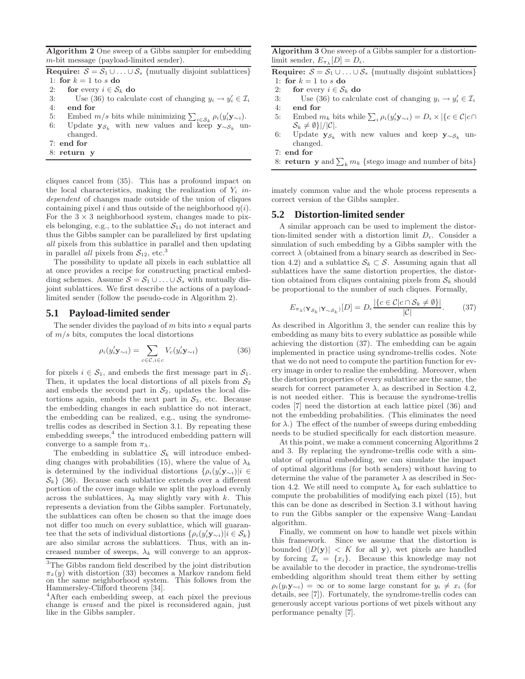Algorithm 2 One sweep of a Gibbs sampler for embedding m-bit message (payload-limited sender).

Require:  $S = S_1 \cup ... \cup S_s$  {mutually disjoint sublattices} 1: for  $k = 1$  to s do

- 
- 2: **for** every  $i \in S_k$  **do**<br>3: Use (36) to calcul 3: Use (36) to calculate cost of changing  $y_i \to y'_i \in \mathcal{I}_i$
- 4: end for
- 5: Embed  $m/s$  bits while minimizing  $\sum_{i \in S_k} \rho_i(y'_i \mathbf{y}_{\sim i})$ .
- 6: Update  $y_{\mathcal{S}_k}$  with new values and keep  $y_{\sim \mathcal{S}_k}$  unchanged.
- 7: end for
- 8: return y

cliques cancel from (35). This has a profound impact on the local characteristics, making the realization of  $Y_i$  *independent* of changes made outside of the union of cliques containing pixel i and thus outside of the neighborhood  $\eta(i)$ . For the  $3 \times 3$  neighborhood system, changes made to pixels belonging, e.g., to the sublattice  $S_{11}$  do not interact and thus the Gibbs sampler can be parallelized by first updating *all* pixels from this sublattice in parallel and then updating in parallel *all* pixels from  $S_{12}$ , etc.<sup>3</sup>

The possibility to update all pixels in each sublattice all at once provides a recipe for constructing practical embedding schemes. Assume  $S = S_1 \cup ... \cup S_s$  with mutually disjoint sublattices. We first describe the actions of a payloadlimited sender (follow the pseudo-code in Algorithm 2).

#### **5.1 Payload-limited sender**

The sender divides the payload of  $m$  bits into  $s$  equal parts of  $m/s$  bits, computes the local distortions

$$
\rho_i(y'_i \mathbf{y}_{\sim i}) = \sum_{c \in \mathcal{C}, i \in c} V_c(y'_i \mathbf{y}_{\sim i}) \tag{36}
$$

for pixels  $i \in S_1$ , and embeds the first message part in  $S_1$ . Then, it updates the local distortions of all pixels from  $S_2$ and embeds the second part in  $S_2$ , updates the local distortions again, embeds the next part in  $S_3$ , etc. Because the embedding changes in each sublattice do not interact, the embedding can be realized, e.g., using the syndrometrellis codes as described in Section 3.1. By repeating these  $embedding\text{ sweeps},<sup>4</sup>$  the introduced embedding pattern will converge to a sample from  $\pi_{\lambda}$ .

The embedding in sublattice  $S_k$  will introduce embedding changes with probabilities (15), where the value of  $\lambda_k$ is determined by the individual distortions  $\{\rho_i(y'_i\mathbf{y}_{\sim i})|i\in\mathbb{R}\}\$  $\mathcal{S}_k$  (36). Because each sublattice extends over a different portion of the cover image while we split the payload evenly across the sublattices,  $\lambda_k$  may slightly vary with k. This represents a deviation from the Gibbs sampler. Fortunately, the sublattices can often be chosen so that the image does not differ too much on every sublattice, which will guarantee that the sets of individual distortions  $\{ \rho_i(y'_i \mathbf{y}_{\sim i}) | i \in S_k \}$ are also similar across the sublattices. Thus, with an increased number of sweeps,  $\lambda_k$  will converge to an approxAlgorithm 3 One sweep of a Gibbs sampler for a distortionlimit sender,  $E_{\pi_{\lambda}}[D] = D_{\epsilon}$ .

Require:  $S = S_1 \cup ... \cup S_s$  {mutually disjoint sublattices} 1: for  $k = 1$  to s do

- 2: for every  $i \in S_k$  do<br>3: Use (36) to calcul
- 3: Use (36) to calculate cost of changing  $y_i \to y'_i \in \mathcal{I}_i$
- 4: end for
- 5: Embed  $m_k$  bits while  $\sum_i \rho_i(y'_i \mathbf{y}_{\sim i}) = D_{\epsilon} \times |\{c \in \mathcal{C}|c \cap$  $S_k \neq \emptyset$ }|/|C|.
- 6: Update  $y_{\mathcal{S}_k}$  with new values and keep  $y_{\sim \mathcal{S}_k}$  unchanged.

```
7: end for
```
8: **return y** and  $\sum_{k} m_k$  {stego image and number of bits}

imately common value and the whole process represents a correct version of the Gibbs sampler.

### **5.2 Distortion-limited sender**

A similar approach can be used to implement the distortion-limited sender with a distortion limit  $D_{\epsilon}$ . Consider a simulation of such embedding by a Gibbs sampler with the correct  $\lambda$  (obtained from a binary search as described in Section 4.2) and a sublattice  $S_k \subset S$ . Assuming again that all sublattices have the same distortion properties, the distortion obtained from cliques containing pixels from  $S_k$  should be proportional to the number of such cliques. Formally,

$$
E_{\pi_{\lambda}(\mathbf{Y}_{\mathcal{S}_k}|\mathbf{Y}_{\sim\mathcal{S}_k})}[D] = D_{\epsilon} \frac{|\{c \in \mathcal{C}|c \cap \mathcal{S}_k \neq \emptyset\}|}{|\mathcal{C}|}. \tag{37}
$$

As described in Algorithm 3, the sender can realize this by embedding as many bits to every sublattice as possible while achieving the distortion (37). The embedding can be again implemented in practice using syndrome-trellis codes. Note that we do not need to compute the partition function for every image in order to realize the embedding. Moreover, when the distortion properties of every sublattice are the same, the search for correct parameter  $\lambda$ , as described in Section 4.2, is not needed either. This is because the syndrome-trellis codes [7] need the distortion at each lattice pixel (36) and not the embedding probabilities. (This eliminates the need for  $\lambda$ .) The effect of the number of sweeps during embedding needs to be studied specifically for each distortion measure.

At this point, we make a comment concerning Algorithms 2 and 3. By replacing the syndrome-trellis code with a simulator of optimal embedding, we can simulate the impact of optimal algorithms (for both senders) without having to determine the value of the parameter  $\lambda$  as described in Section 4.2. We still need to compute  $\lambda_k$  for each sublattice to compute the probabilities of modifying each pixel (15), but this can be done as described in Section 3.1 without having to run the Gibbs sampler or the expensive Wang–Landau algorithm.

Finally, we comment on how to handle wet pixels within this framework. Since we assume that the distortion is bounded  $(|D(y)| < K$  for all y), wet pixels are handled by forcing  $\mathcal{I}_i = \{x_i\}$ . Because this knowledge may not be available to the decoder in practice, the syndrome-trellis embedding algorithm should treat them either by setting  $\rho_i(y_i\mathbf{y}_{\sim i}) = \infty$  or to some large constant for  $y_i \neq x_i$  (for details, see [7]). Fortunately, the syndrome-trellis codes can generously accept various portions of wet pixels without any performance penalty [7].

<sup>3</sup>The Gibbs random field described by the joint distribution  $\pi_x(y)$  with distortion (33) becomes a Markov random field on the same neighborhood system. This follows from the Hammersley-Clifford theorem [34].

<sup>&</sup>lt;sup>4</sup>After each embedding sweep, at each pixel the previous change is *erased* and the pixel is reconsidered again, just like in the Gibbs sampler.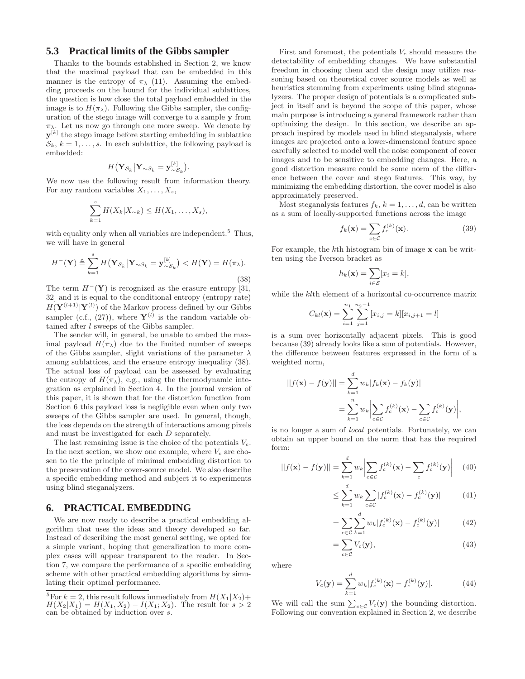# **5.3 Practical limits of the Gibbs sampler**

Thanks to the bounds established in Section 2, we know that the maximal payload that can be embedded in this manner is the entropy of  $\pi_{\lambda}$  (11). Assuming the embedding proceeds on the bound for the individual sublattices, the question is how close the total payload embedded in the image is to  $H(\pi_{\lambda})$ . Following the Gibbs sampler, the configuration of the stego image will converge to a sample y from  $\pi_{\lambda}$ . Let us now go through one more sweep. We denote by  $\mathbf{y}^{[k]}$  the stego image before starting embedding in sublattice  $\mathcal{S}_k$ ,  $k = 1, \ldots, s$ . In each sublattice, the following payload is embedded:

$$
H(\mathbf{Y}_{\mathcal{S}_k}|\mathbf{Y}_{\sim\mathcal{S}_k}=\mathbf{y}_{\sim\mathcal{S}_k}^{[k]}).
$$

We now use the following result from information theory. For any random variables  $X_1, \ldots, X_s$ ,

$$
\sum_{k=1}^s H(X_k|X_{\sim k}) \leq H(X_1,\ldots,X_s),
$$

with equality only when all variables are independent.<sup>5</sup> Thus, we will have in general

$$
H^{-}(\mathbf{Y}) \triangleq \sum_{k=1}^{s} H(\mathbf{Y}_{\mathcal{S}_k} | \mathbf{Y}_{\sim \mathcal{S}_k} = \mathbf{y}_{\sim \mathcal{S}_k}^{[k]}) < H(\mathbf{Y}) = H(\pi_{\lambda}).\tag{38}
$$

The term  $H^{-}(\mathbf{Y})$  is recognized as the erasure entropy [31, 32] and it is equal to the conditional entropy (entropy rate)  $H(\mathbf{Y}^{(l+1)}|\mathbf{Y}^{(l)})$  of the Markov process defined by our Gibbs sampler (c.f., (27)), where  $Y^{(l)}$  is the random variable obtained after l sweeps of the Gibbs sampler.

The sender will, in general, be unable to embed the maximal payload  $H(\pi_{\lambda})$  due to the limited number of sweeps of the Gibbs sampler, slight variations of the parameter  $\lambda$ among sublattices, and the erasure entropy inequality (38). The actual loss of payload can be assessed by evaluating the entropy of  $H(\pi_{\lambda})$ , e.g., using the thermodynamic integration as explained in Section 4. In the journal version of this paper, it is shown that for the distortion function from Section 6 this payload loss is negligible even when only two sweeps of the Gibbs sampler are used. In general, though, the loss depends on the strength of interactions among pixels and must be investigated for each D separately.

The last remaining issue is the choice of the potentials  $V_c$ . In the next section, we show one example, where  $V_c$  are chosen to tie the principle of minimal embedding distortion to the preservation of the cover-source model. We also describe a specific embedding method and subject it to experiments using blind steganalyzers.

# **6. PRACTICAL EMBEDDING**

We are now ready to describe a practical embedding algorithm that uses the ideas and theory developed so far. Instead of describing the most general setting, we opted for a simple variant, hoping that generalization to more complex cases will appear transparent to the reader. In Section 7, we compare the performance of a specific embedding scheme with other practical embedding algorithms by simulating their optimal performance.

First and foremost, the potentials  $V_c$  should measure the detectability of embedding changes. We have substantial freedom in choosing them and the design may utilize reasoning based on theoretical cover source models as well as heuristics stemming from experiments using blind steganalyzers. The proper design of potentials is a complicated subject in itself and is beyond the scope of this paper, whose main purpose is introducing a general framework rather than optimizing the design. In this section, we describe an approach inspired by models used in blind steganalysis, where images are projected onto a lower-dimensional feature space carefully selected to model well the noise component of cover images and to be sensitive to embedding changes. Here, a good distortion measure could be some norm of the difference between the cover and stego features. This way, by minimizing the embedding distortion, the cover model is also approximately preserved.

Most steganalysis features  $f_k$ ,  $k = 1, \ldots, d$ , can be written as a sum of locally-supported functions across the image

$$
f_k(\mathbf{x}) = \sum_{c \in \mathcal{C}} f_c^{(k)}(\mathbf{x}).\tag{39}
$$

For example, the  $k$ <sup>th</sup> histogram bin of image  $x$  can be written using the Iverson bracket as

$$
h_k(\mathbf{x}) = \sum_{i \in \mathcal{S}} [x_i = k],
$$

while the *kl*th element of a horizontal co-occurrence matrix

$$
C_{kl}(\mathbf{x}) = \sum_{i=1}^{n_1} \sum_{j=1}^{n_2-1} [x_{i,j} = k][x_{i,j+1} = l]
$$

is a sum over horizontally adjacent pixels. This is good because (39) already looks like a sum of potentials. However, the difference between features expressed in the form of a weighted norm,

$$
||f(\mathbf{x}) - f(\mathbf{y})|| = \sum_{k=1}^{d} w_k |f_k(\mathbf{x}) - f_k(\mathbf{y})|
$$
  
= 
$$
\sum_{k=1}^{n} w_k \left| \sum_{c \in C} f_c^{(k)}(\mathbf{x}) - \sum_{c \in C} f_c^{(k)}(\mathbf{y}) \right|,
$$

is no longer a sum of *local* potentials. Fortunately, we can obtain an upper bound on the norm that has the required form:

$$
||f(\mathbf{x}) - f(\mathbf{y})|| = \sum_{k=1}^{d} w_k \left| \sum_{c \in C} f_c^{(k)}(\mathbf{x}) - \sum_c f_c^{(k)}(\mathbf{y}) \right| \quad (40)
$$

$$
\leq \sum_{k=1}^{d} w_k \sum_{c \in \mathcal{C}} |f_c^{(k)}(\mathbf{x}) - f_c^{(k)}(\mathbf{y})| \tag{41}
$$

$$
= \sum_{c \in \mathcal{C}} \sum_{k=1}^{d} w_k |f_c^{(k)}(\mathbf{x}) - f_c^{(k)}(\mathbf{y})| \tag{42}
$$

$$
=\sum_{c\in\mathcal{C}}V_c(\mathbf{y}),\tag{43}
$$

where

$$
V_c(\mathbf{y}) = \sum_{k=1}^d w_k |f_c^{(k)}(\mathbf{x}) - f_c^{(k)}(\mathbf{y})|.
$$
 (44)

We will call the sum  $\sum_{c \in \mathcal{C}} V_c(\mathbf{y})$  the bounding distortion. Following our convention explained in Section 2, we describe

<sup>&</sup>lt;sup>5</sup>For  $k = 2$ , this result follows immediately from  $H(X_1|X_2)$ +  $H(X_2|X_1) = H(X_1, X_2) - I(X_1; X_2)$ . The result for  $s > 2$ can be obtained by induction over s.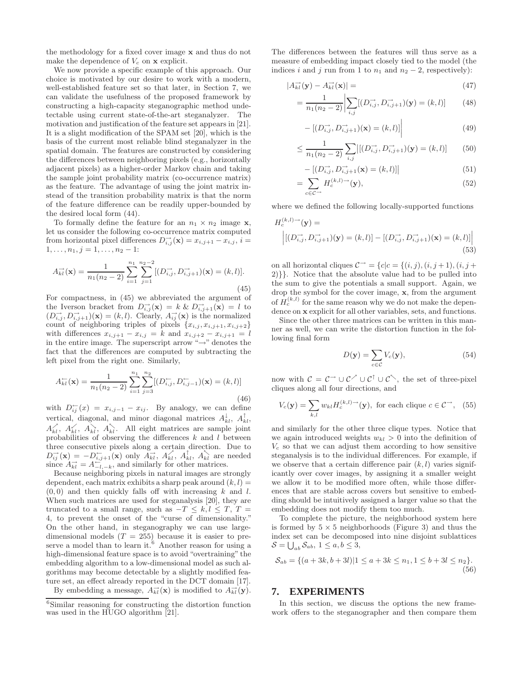the methodology for a fixed cover image x and thus do not make the dependence of  $V_c$  on  $\bf{x}$  explicit.

We now provide a specific example of this approach. Our choice is motivated by our desire to work with a modern, well-established feature set so that later, in Section 7, we can validate the usefulness of the proposed framework by constructing a high-capacity steganographic method undetectable using current state-of-the-art steganalyzer. The motivation and justification of the feature set appears in [21]. It is a slight modification of the SPAM set [20], which is the basis of the current most reliable blind steganalyzer in the spatial domain. The features are constructed by considering the differences between neighboring pixels (e.g., horizontally adjacent pixels) as a higher-order Markov chain and taking the sample joint probability matrix (co-occurrence matrix) as the feature. The advantage of using the joint matrix instead of the transition probability matrix is that the norm of the feature difference can be readily upper-bounded by the desired local form (44).

To formally define the feature for an  $n_1 \times n_2$  image **x**, let us consider the following co-occurrence matrix computed from horizontal pixel differences  $D_{i,j}^{\rightarrow}(\mathbf{x}) = x_{i,j+1} - x_{i,j}, i =$  $1, \ldots, n_1, j = 1, \ldots, n_2 - 1$ :

$$
A_{kl}^{\rightarrow}(\mathbf{x}) = \frac{1}{n_1(n_2 - 2)} \sum_{i=1}^{n_1} \sum_{j=1}^{n_2 - 2} [(D_{i,j}^{\rightarrow}, D_{i,j+1}^{\rightarrow})(\mathbf{x}) = (k, l)].
$$
\n(45)

For compactness, in (45) we abbreviated the argument of the Iverson bracket from  $D_{i,j}^{-\lambda}(\mathbf{x}) = k \& D_{i,j+1}^{-\lambda}(\mathbf{x}) = l$  to  $(D_{i,j}^{\rightarrow}, D_{i,j+1}^{\rightarrow})(\mathbf{x}) = (k,l)$ . Clearly,  $A_{ij}^{\rightarrow}(\mathbf{x})$  is the normalized count of neighboring triples of pixels  $\{x_{i,j}, x_{i,j+1}, x_{i,j+2}\}$ with differences  $x_{i,j+1} - x_{i,j} = k$  and  $x_{i,j+2} - x_{i,j+1} = l$ in the entire image. The superscript arrow " $\rightarrow$ " denotes the fact that the differences are computed by subtracting the left pixel from the right one. Similarly,

$$
A_{kl}^{(-)}(\mathbf{x}) = \frac{1}{n_1(n_2 - 2)} \sum_{i=1}^{n_1} \sum_{j=3}^{n_2} [(D_{i,j}^{(-}, D_{i,j-1}^{(-)})(\mathbf{x}) = (k, l)] \tag{46}
$$

with  $D_{ij}^{\leftarrow}(x) = x_{i,j-1} - x_{ij}$ . By analogy, we can define vertical, diagonal, and minor diagonal matrices  $A_{kl}^{\downarrow}$ ,  $A_{kl}^{\uparrow}$ ,  $A_{kl}^{\prime}, A_{kl}^{\prime}, A_{kl}^{\prime}, A_{kl}^{\prime}$ . All eight matrices are sample joint probabilities of observing the differences  $k$  and  $l$  between three consecutive pixels along a certain direction. Due to  $D_{ij}^{\rightarrow}(\mathbf{x}) = -D_{i,j+1}^{\leftarrow}(\mathbf{x})$  only  $A_{kl}^{\rightarrow}$ ,  $A_{kl}^{\wedge}$ ,  $A_{kl}^{\uparrow}$ ,  $A_{kl}^{\wedge}$  are needed since  $A_{kl}^{\rightarrow} = A_{-l,-k}^{\leftarrow}$ , and similarly for other matrices.

Because neighboring pixels in natural images are strongly dependent, each matrix exhibits a sharp peak around  $(k, l)$  =  $(0, 0)$  and then quickly falls off with increasing k and l. When such matrices are used for steganalysis [20], they are truncated to a small range, such as  $-T \leq k, l \leq T, T =$ 4, to prevent the onset of the "curse of dimensionality." On the other hand, in steganography we can use largedimensional models  $(T = 255)$  because it is easier to preserve a model than to learn it. $^{6}$  Another reason for using a high-dimensional feature space is to avoid "overtraining" the embedding algorithm to a low-dimensional model as such algorithms may become detectable by a slightly modified feature set, an effect already reported in the DCT domain [17]. By embedding a message,  $A_{kl}^{\rightarrow}(\mathbf{x})$  is modified to  $A_{kl}^{\rightarrow}(\mathbf{y})$ .

The differences between the features will thus serve as a measure of embedding impact closely tied to the model (the indices i and j run from 1 to  $n_1$  and  $n_2 - 2$ , respectively):

$$
|A_{kl}^{\rightarrow}(\mathbf{y}) - A_{kl}^{\rightarrow}(\mathbf{x})| = \tag{47}
$$

$$
= \frac{1}{n_1(n_2-2)} \left| \sum_{i,j} [(D_{i,j}^{\rightarrow}, D_{i,j+1}^{\rightarrow})(\mathbf{y}) = (k,l)] \right| \tag{48}
$$

$$
- [(D_{i,j}^{\to}, D_{i,j+1}^{\to})(\mathbf{x}) = (k,l)] \Big| \tag{49}
$$

$$
\leq \frac{1}{n_1(n_2-2)} \sum_{i,j} |[(D_{i,j}^{\rightarrow}, D_{i,j+1}^{\rightarrow})(\mathbf{y}) = (k,l)] \tag{50}
$$

$$
- [(D_{i,j}^{\rightarrow}, D_{i,j+1}^{\rightarrow}(\mathbf{x}) = (k,l)] | \qquad (51)
$$

$$
=\sum_{c\in\mathcal{C}^{\to}}H_c^{(k,l)\to}(\mathbf{y}),\tag{52}
$$

where we defined the following locally-supported functions

$$
H_c^{(k,l)\to}(\mathbf{y}) =
$$
  
\n
$$
\left| [(D_{i,j}^{\to}, D_{i,j+1}^{\to}) (\mathbf{y}) = (k,l)] - [(D_{i,j}^{\to}, D_{i,j+1}^{\to}) (\mathbf{x}) = (k,l)] \right|
$$
\n(53)

on all horizontal cliques  $\mathcal{C}^{\rightarrow} = \{c | c = \{(i, j), (i, j + 1), (i, j + 1)\}$ 2)}}. Notice that the absolute value had to be pulled into the sum to give the potentials a small support. Again, we drop the symbol for the cover image, x, from the argument of  $H_c^{(k,l)}$  for the same reason why we do not make the dependence on x explicit for all other variables, sets, and functions.

Since the other three matrices can be written in this manner as well, we can write the distortion function in the following final form

$$
D(\mathbf{y}) = \sum_{c \in \mathcal{C}} V_c(\mathbf{y}), \tag{54}
$$

now with  $C = C \rightarrow \cup C' \cup C^{\uparrow} \cup C^{\uparrow}$ , the set of three-pixel cliques along all four directions, and

$$
V_c(\mathbf{y}) = \sum_{k,l} w_{kl} H_c^{(k,l)\to}(\mathbf{y}), \text{ for each clique } c \in \mathcal{C}^{\to}, \quad (55)
$$

and similarly for the other three clique types. Notice that we again introduced weights  $w_{kl} > 0$  into the definition of  $V_c$  so that we can adjust them according to how sensitive steganalysis is to the individual differences. For example, if we observe that a certain difference pair  $(k, l)$  varies significantly over cover images, by assigning it a smaller weight we allow it to be modified more often, while those differences that are stable across covers but sensitive to embedding should be intuitively assigned a larger value so that the embedding does not modify them too much.

To complete the picture, the neighborhood system here is formed by  $5 \times 5$  neighborhoods (Figure 3) and thus the index set can be decomposed into nine disjoint sublattices  $S = \bigcup_{ab} S_{ab}, 1 \leq a, b \leq 3,$ 

$$
S_{ab} = \{(a+3k, b+3l)|1 \le a+3k \le n_1, 1 \le b+3l \le n_2\}.
$$
\n(56)

# **7. EXPERIMENTS**

In this section, we discuss the options the new framework offers to the steganographer and then compare them

<sup>6</sup>Similar reasoning for constructing the distortion function was used in the HUGO algorithm [21].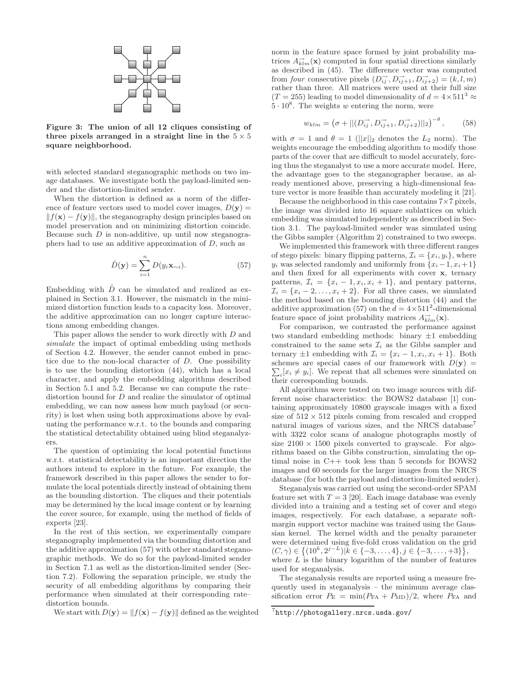

Figure 3: The union of all 12 cliques consisting of three pixels arranged in a straight line in the  $5 \times 5$ square neighborhood.

with selected standard steganographic methods on two image databases. We investigate both the payload-limited sender and the distortion-limited sender.

When the distortion is defined as a norm of the difference of feature vectors used to model cover images,  $D(y) =$  $|| f(\mathbf{x}) - f(\mathbf{y})||$ , the steganography design principles based on model preservation and on minimizing distortion coincide. Because such  $D$  is non-additive, up until now steganographers had to use an additive approximation of D, such as

$$
\hat{D}(\mathbf{y}) = \sum_{i=1}^{n} D(y_i \mathbf{x}_{\sim i}).
$$
\n(57)

Embedding with  $\ddot{D}$  can be simulated and realized as explained in Section 3.1. However, the mismatch in the minimized distortion function leads to a capacity loss. Moreover, the additive approximation can no longer capture interactions among embedding changes.

This paper allows the sender to work directly with D and *simulate* the impact of optimal embedding using methods of Section 4.2. However, the sender cannot embed in practice due to the non-local character of D. One possibility is to use the bounding distortion (44), which has a local character, and apply the embedding algorithms described in Section 5.1 and 5.2. Because we can compute the rate– distortion bound for D and realize the simulator of optimal embedding, we can now assess how much payload (or security) is lost when using both approximations above by evaluating the performance w.r.t. to the bounds and comparing the statistical detectability obtained using blind steganalyzers.

The question of optimizing the local potential functions w.r.t. statistical detectability is an important direction the authors intend to explore in the future. For example, the framework described in this paper allows the sender to formulate the local potentials directly instead of obtaining them as the bounding distortion. The cliques and their potentials may be determined by the local image content or by learning the cover source, for example, using the method of fields of experts [23].

In the rest of this section, we experimentally compare steganography implemented via the bounding distortion and the additive approximation (57) with other standard steganographic methods. We do so for the payload-limited sender in Section 7.1 as well as the distortion-limited sender (Section 7.2). Following the separation principle, we study the security of all embedding algorithms by comparing their performance when simulated at their corresponding rate– distortion bounds.

We start with  $D(\mathbf{y}) = ||f(\mathbf{x}) - f(\mathbf{y})||$  defined as the weighted

norm in the feature space formed by joint probability matrices  $A_{klm}^{\rightarrow}(\mathbf{x})$  computed in four spatial directions similarly as described in (45). The difference vector was computed from *four* consecutive pixels  $(D_{ij}^{\rightarrow}, D_{ij+1}^{\rightarrow}, D_{ij+2}^{\rightarrow}) = (k, l, m)$ rather than three. All matrices were used at their full size  $(T = 255)$  leading to model dimensionality of  $d = 4 \times 511^3 \approx$  $5 \cdot 10^8$ . The weights w entering the norm, were

$$
w_{klm} = (\sigma + ||(D_{ij}^{\rightarrow}, D_{ij+1}^{\rightarrow}, D_{ij+2}^{\rightarrow})||_2)^{-\theta}, \qquad (58)
$$

with  $\sigma = 1$  and  $\theta = 1$  (||x||<sub>2</sub> denotes the  $L_2$  norm). The weights encourage the embedding algorithm to modify those parts of the cover that are difficult to model accurately, forcing thus the steganalyst to use a more accurate model. Here, the advantage goes to the steganographer because, as already mentioned above, preserving a high-dimensional feature vector is more feasible than accurately modeling it [21].

Because the neighborhood in this case contains  $7\times7$  pixels, the image was divided into 16 square sublattices on which embedding was simulated independently as described in Section 3.1. The payload-limited sender was simulated using the Gibbs sampler (Algorithm 2) constrained to two sweeps.

We implemented this framework with three different ranges of stego pixels: binary flipping patterns,  $\mathcal{I}_i = \{x_i, y_i\}$ , where  $y_i$  was selected randomly and uniformly from  $\{x_i-1, x_i+1\}$ and then fixed for all experiments with cover x, ternary patterns,  $\mathcal{I}_i = \{x_i - 1, x_i, x_i + 1\}$ , and pentary patterns,  $\mathcal{I}_i = \{x_i - 2, \ldots, x_i + 2\}$ . For all three cases, we simulated the method based on the bounding distortion (44) and the additive approximation (57) on the  $d = 4 \times 511^2$ -dimensional feature space of joint probability matrices  $A_{klm}^{\rightarrow}(\mathbf{x})$ .

For comparison, we contrasted the performance against two standard embedding methods: binary ±1 embedding constrained to the same sets  $\mathcal{I}_i$  as the Gibbs sampler and ternary  $\pm 1$  embedding with  $\mathcal{I}_i = \{x_i - 1, x_i, x_i + 1\}$ . Both schemes are special cases of our framework with  $D(y) =$  $\sum_i [x_i \neq y_i]$ . We repeat that all schemes were simulated on their corresponding bounds.

All algorithms were tested on two image sources with different noise characteristics: the BOWS2 database [1] containing approximately 10800 grayscale images with a fixed size of  $512 \times 512$  pixels coming from rescaled and cropped natural images of various sizes, and the NRCS database<sup>7</sup> with 3322 color scans of analogue photographs mostly of size  $2100 \times 1500$  pixels converted to grayscale. For algorithms based on the Gibbs construction, simulating the optimal noise in C++ took less than 5 seconds for BOWS2 images and 60 seconds for the larger images from the NRCS database (for both the payload and distortion-limited sender).

Steganalysis was carried out using the second-order SPAM feature set with  $T = 3$  [20]. Each image database was evenly divided into a training and a testing set of cover and stego images, respectively. For each database, a separate softmargin support vector machine was trained using the Gaussian kernel. The kernel width and the penalty parameter were determined using five-fold cross validation on the grid  $(C, \gamma) \in \left\{ (10^k, 2^{j-L}) | k \in \{-3, \ldots, 4\}, j \in \{-3, \ldots, +3\} \right\},$ where  $L$  is the binary logarithm of the number of features used for steganalysis.

The steganalysis results are reported using a measure frequently used in steganalysis – the minimum average classification error  $P_{\rm E} = \min(P_{\rm FA} + P_{\rm MD})/2$ , where  $P_{\rm FA}$  and

<sup>7</sup> http://photogallery.nrcs.usda.gov/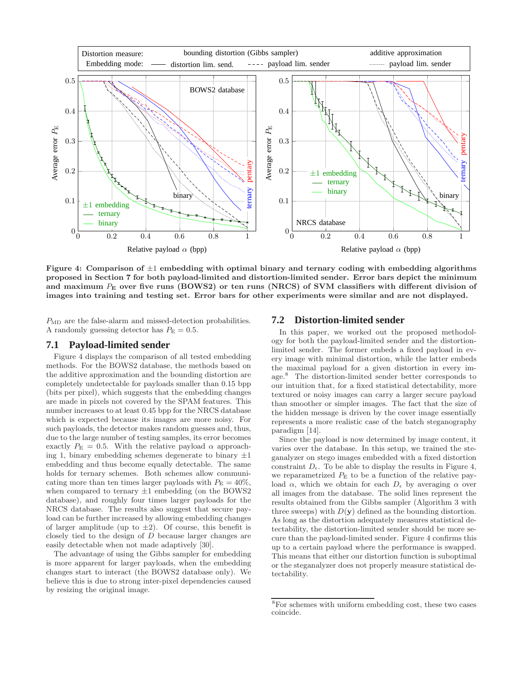

Figure 4: Comparison of  $\pm 1$  embedding with optimal binary and ternary coding with embedding algorithms proposed in Section 7 for both payload-limited and distortion-limited sender. Error bars depict the minimum and maximum  $P_{\rm E}$  over five runs (BOWS2) or ten runs (NRCS) of SVM classifiers with different division of images into training and testing set. Error bars for other experiments were similar and are not displayed.

 $P_{MD}$  are the false-alarm and missed-detection probabilities. A randomly guessing detector has  $P_{\rm E} = 0.5$ .

# **7.1 Payload-limited sender**

Figure 4 displays the comparison of all tested embedding methods. For the BOWS2 database, the methods based on the additive approximation and the bounding distortion are completely undetectable for payloads smaller than 0.15 bpp (bits per pixel), which suggests that the embedding changes are made in pixels not covered by the SPAM features. This number increases to at least 0.45 bpp for the NRCS database which is expected because its images are more noisy. For such payloads, the detector makes random guesses and, thus, due to the large number of testing samples, its error becomes exactly  $P_{\rm E} = 0.5$ . With the relative payload  $\alpha$  approaching 1, binary embedding schemes degenerate to binary  $\pm 1$ embedding and thus become equally detectable. The same holds for ternary schemes. Both schemes allow communicating more than ten times larger payloads with  $P_{\rm E} = 40\%$ , when compared to ternary  $\pm 1$  embedding (on the BOWS2 database), and roughly four times larger payloads for the NRCS database. The results also suggest that secure payload can be further increased by allowing embedding changes of larger amplitude (up to  $\pm 2$ ). Of course, this benefit is closely tied to the design of D because larger changes are easily detectable when not made adaptively [30].

The advantage of using the Gibbs sampler for embedding is more apparent for larger payloads, when the embedding changes start to interact (the BOWS2 database only). We believe this is due to strong inter-pixel dependencies caused by resizing the original image.

## **7.2 Distortion-limited sender**

In this paper, we worked out the proposed methodology for both the payload-limited sender and the distortionlimited sender. The former embeds a fixed payload in every image with minimal distortion, while the latter embeds the maximal payload for a given distortion in every image.<sup>8</sup> The distortion-limited sender better corresponds to our intuition that, for a fixed statistical detectability, more textured or noisy images can carry a larger secure payload than smoother or simpler images. The fact that the size of the hidden message is driven by the cover image essentially represents a more realistic case of the batch steganography paradigm [14].

Since the payload is now determined by image content, it varies over the database. In this setup, we trained the steganalyzer on stego images embedded with a fixed distortion constraint  $D_{\epsilon}$ . To be able to display the results in Figure 4, we reparametrized  $P_{\rm E}$  to be a function of the relative payload  $\alpha$ , which we obtain for each  $D_{\epsilon}$  by averaging  $\alpha$  over all images from the database. The solid lines represent the results obtained from the Gibbs sampler (Algorithm 3 with three sweeps) with  $D(y)$  defined as the bounding distortion. As long as the distortion adequately measures statistical detectability, the distortion-limited sender should be more secure than the payload-limited sender. Figure 4 confirms this up to a certain payload where the performance is swapped. This means that either our distortion function is suboptimal or the steganalyzer does not properly measure statistical detectability.

<sup>8</sup>For schemes with uniform embedding cost, these two cases coincide.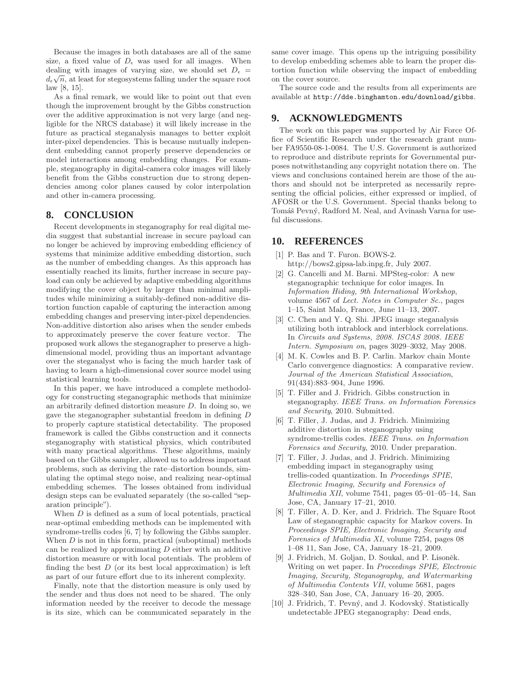Because the images in both databases are all of the same size, a fixed value of  $D_{\epsilon}$  was used for all images. When dealing with images of varying size, we should set  $D_{\epsilon}$  =  $d_{\epsilon}\sqrt{n}$ , at least for stegosystems falling under the square root law [8, 15].

As a final remark, we would like to point out that even though the improvement brought by the Gibbs construction over the additive approximation is not very large (and negligible for the NRCS database) it will likely increase in the future as practical steganalysis manages to better exploit inter-pixel dependencies. This is because mutually independent embedding cannot properly preserve dependencies or model interactions among embedding changes. For example, steganography in digital-camera color images will likely benefit from the Gibbs construction due to strong dependencies among color planes caused by color interpolation and other in-camera processing.

# **8. CONCLUSION**

Recent developments in steganography for real digital media suggest that substantial increase in secure payload can no longer be achieved by improving embedding efficiency of systems that minimize additive embedding distortion, such as the number of embedding changes. As this approach has essentially reached its limits, further increase in secure payload can only be achieved by adaptive embedding algorithms modifying the cover object by larger than minimal amplitudes while minimizing a suitably-defined non-additive distortion function capable of capturing the interaction among embedding changes and preserving inter-pixel dependencies. Non-additive distortion also arises when the sender embeds to approximately preserve the cover feature vector. The proposed work allows the steganographer to preserve a highdimensional model, providing thus an important advantage over the steganalyst who is facing the much harder task of having to learn a high-dimensional cover source model using statistical learning tools.

In this paper, we have introduced a complete methodology for constructing steganographic methods that minimize an arbitrarily defined distortion measure  $D$ . In doing so, we gave the steganographer substantial freedom in defining D to properly capture statistical detectability. The proposed framework is called the Gibbs construction and it connects steganography with statistical physics, which contributed with many practical algorithms. These algorithms, mainly based on the Gibbs sampler, allowed us to address important problems, such as deriving the rate–distortion bounds, simulating the optimal stego noise, and realizing near-optimal embedding schemes. The losses obtained from individual design steps can be evaluated separately (the so-called "separation principle").

When  $D$  is defined as a sum of local potentials, practical near-optimal embedding methods can be implemented with syndrome-trellis codes [6, 7] by following the Gibbs sampler. When  $D$  is not in this form, practical (suboptimal) methods can be realized by approximating  $D$  either with an additive distortion measure or with local potentials. The problem of finding the best  $D$  (or its best local approximation) is left as part of our future effort due to its inherent complexity.

Finally, note that the distortion measure is only used by the sender and thus does not need to be shared. The only information needed by the receiver to decode the message is its size, which can be communicated separately in the same cover image. This opens up the intriguing possibility to develop embedding schemes able to learn the proper distortion function while observing the impact of embedding on the cover source.

The source code and the results from all experiments are available at http://dde.binghamton.edu/download/gibbs.

# **9. ACKNOWLEDGMENTS**

The work on this paper was supported by Air Force Office of Scientific Research under the research grant number FA9550-08-1-0084. The U.S. Government is authorized to reproduce and distribute reprints for Governmental purposes notwithstanding any copyright notation there on. The views and conclusions contained herein are those of the authors and should not be interpreted as necessarily representing the official policies, either expressed or implied, of AFOSR or the U.S. Government. Special thanks belong to Tomáš Pevný, Radford M. Neal, and Avinash Varna for useful discussions.

# **10. REFERENCES**

- [1] P. Bas and T. Furon. BOWS-2. http://bows2.gipsa-lab.inpg.fr, July 2007.
- [2] G. Cancelli and M. Barni. MPSteg-color: A new steganographic technique for color images. In *Information Hiding, 9th International Workshop*, volume 4567 of *Lect. Notes in Computer Sc.*, pages 1–15, Saint Malo, France, June 11–13, 2007.
- [3] C. Chen and Y. Q. Shi. JPEG image steganalysis utilizing both intrablock and interblock correlations. In *Circuits and Systems, 2008. ISCAS 2008. IEEE Intern. Symposium on*, pages 3029–3032, May 2008.
- [4] M. K. Cowles and B. P. Carlin. Markov chain Monte Carlo convergence diagnostics: A comparative review. *Journal of the American Statistical Association*, 91(434):883–904, June 1996.
- [5] T. Filler and J. Fridrich. Gibbs construction in steganography. *IEEE Trans. on Information Forensics and Security*, 2010. Submitted.
- [6] T. Filler, J. Judas, and J. Fridrich. Minimizing additive distortion in steganography using syndrome-trellis codes. *IEEE Trans. on Information Forensics and Security*, 2010. Under preparation.
- [7] T. Filler, J. Judas, and J. Fridrich. Minimizing embedding impact in steganography using trellis-coded quantization. In *Proceedings SPIE, Electronic Imaging, Security and Forensics of Multimedia XII*, volume 7541, pages 05–01–05–14, San Jose, CA, January 17–21, 2010.
- [8] T. Filler, A. D. Ker, and J. Fridrich. The Square Root Law of steganographic capacity for Markov covers. In *Proceedings SPIE, Electronic Imaging, Security and Forensics of Multimedia XI*, volume 7254, pages 08 1–08 11, San Jose, CA, January 18–21, 2009.
- [9] J. Fridrich, M. Goljan, D. Soukal, and P. Lisoněk. Writing on wet paper. In *Proceedings SPIE, Electronic Imaging, Security, Steganography, and Watermarking of Multimedia Contents VII*, volume 5681, pages 328–340, San Jose, CA, January 16–20, 2005.
- [10] J. Fridrich, T. Pevný, and J. Kodovský. Statistically undetectable JPEG steganography: Dead ends,